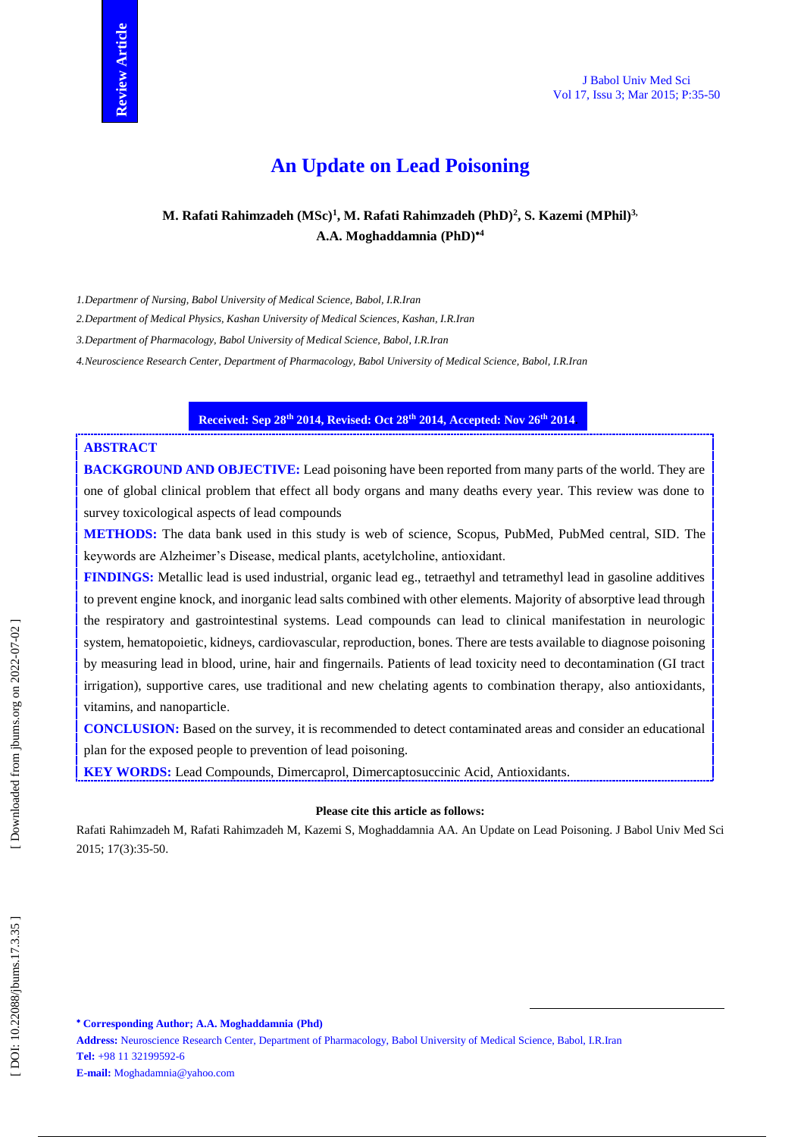# **An Update on Lead Poisoning**

# **M. Rafati Rahimzadeh (MSc) 1 , M. Rafati Rahimzadeh (PhD) 2 , S. Kazemi (MPhil)3, A.A. Moghaddamnia (PhD) 4**

*1 .Departmenr of Nursing, Babol University of Medical Science, Babol, I.R.Iran*

*2 .Department of Medical Physics, Kashan University of Medical Sciences, Kashan, I.R.Iran*

*3 .Department of Pharmacology, Babol University of Medical Science, Babol, I.R.Iran*

*4 .Neuroscience Research Center, Department of Pharmacology, Babol University of Medical Science, Babol, I.R.Iran*

# **Received: Sep 28th 2014, Revised: Oct 28th 2014, Accepted: Nov 26th 2014 .**

# **ABSTRACT**

**BACKGROUND AND OBJECTIVE:** Lead poisoning have been reported from many parts of the world. They are one of global clinical problem that effect all body organs and many deaths every year. This review was done to survey toxicological aspects of lead compounds

**METHODS:** The data bank used in this study is web of science, Scopus, PubMed, PubMed central, SID. The keywords are Alzheimer's Disease, medical plants, acetylcholine, antioxidant.

**FINDINGS:** Metallic lead is used industrial, organic lead eg., tetraethyl and tetramethyl lead in gasoline additives to prevent engine knock, and inorganic lead salts combined with other elements. Majority of absorptive lead through the respiratory and gastrointestinal systems. Lead compounds can lead to clinical manifestation in neurologic system, hematopoietic, kidneys, cardiovascular, reproduction, bones. There are tests available to diagnose poisoning by measuring lead in blood, urine, hair and fingernails. Patients of lead toxicity need to decontamination (GI tract irrigation), supportive cares, use traditional and new chelating agents to combination therapy, also antioxidants, vitamins, and nanoparticle .

**CONCLUSION:** Based on the survey, it is recommended to detect contaminated areas and consider an educational plan for the exposed people to prevention of lead poisoning.

**KEY WORDS:** Lead Compounds, Dimercaprol, Dimercaptosuccinic Acid, Antioxidants .

# **Please cite this article as follows:**

Rafati Rahimzadeh M, Rafati Rahimzadeh M, Kazemi S, Moghaddamnia AA . An Update on Lead Poisoning. J Babol Univ Med Sci 201 5; 1 7 ( 3):35 -50 .

 $\overline{a}$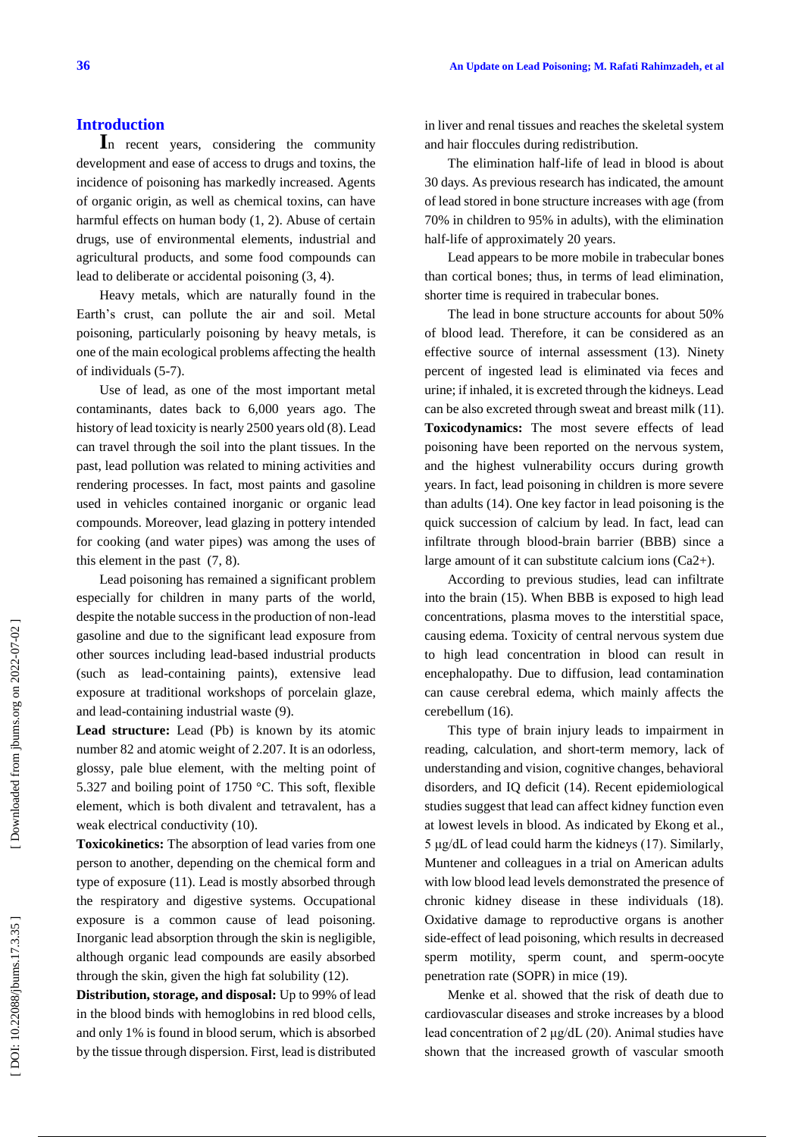**Introduction**<br> **I**n recent years, considering the community development and ease of access to drugs and toxins, the incidence of poisoning has markedly increased. Agents of organic origin, as well as chemical toxins, can have harmful effects on human body (1, 2). Abuse of certain drugs, use of environmental elements, industrial and agricultural products, and some food compounds can lead to deliberate or accidental poisoning (3, 4).

Heavy metals, which are naturally found in the Earth's crust, can pollute the air and soil. Metal poisoning, particularly poisoning by heavy metals, is one of the main ecological problems affecting the health of individuals (5 -7).

Use of lead, as one of the most important metal contaminants, dates back to 6,000 years ago. The history of lead toxicity is nearly 2500 years old (8). Lead can travel through the soil into the plant tissues. In the past, lead pollution was related to mining activities and rendering processes. In fact, most paints and gasoline used in vehicles contained inorganic or organic lead compounds. Moreover, lead glazing in pottery intended for cooking (and water pipes) was among the uses of this element in the past (7, 8).

Lead poisoning has remained a significant problem especially for children in many parts of the world, despite the notable success in the production of non -lead gasoline and due to the significant lead exposure from other sources including lead -based industrial products (such as lead -containing paints), extensive lead exposure at traditional workshops of porcelain glaze, and lead -containing industrial waste (9).

**Lead structure:** Lead (Pb) is known by its atomic number 82 and atomic weight of 2.207. It is an odorless, glossy, pale blue element, with the melting point of 5.327 and boiling point of 1750 °C. This soft, flexible element, which is both divalent and tetravalent, has a weak electrical conductivity (10).

**Toxicokinetics:** The absorption of lead varies from one person to another, depending on the chemical form and type of exposure (11). Lead is mostly absorbed through the respiratory and digestive systems. Occupational exposure is a common cause of lead poisoning. Inorganic lead absorption through the skin is negligible, although organic lead compounds are easily absorbed through the skin, given the high fat solubility (12).

**Distribution, storage, and disposal:** Up to 99% of lead in the blood binds with hemoglobins in red blood cells, and only 1% is found in blood serum, which is absorbed by the tissue through dispersion. First, lead is distributed

in liver and renal tissues and reaches the skeletal system and hair floccules during redistribution.

The elimination half -life of lead in blood is about 30 days. As previous research has indicated, the amount of lead stored in bone structure increases with age (from 70% in children to 95% in adults), with the elimination half-life of approximately 20 years.

Lead appears to be more mobile in trabecular bones than cortical bones; thus, in terms of lead elimination, shorter time is required in trabecular bones.

The lead in bone structure accounts for about 50% of blood lead. Therefore, it can be considered as an effective source of internal assessment (13). Ninety percent of ingested lead is eliminated via feces and urine; if inhaled, it is excreted through the kidneys. Lead can be also excreted through sweat and breast milk (11). **Toxicodynamics:** The most severe effects of lead poisoning have been reported on the nervous system, and the highest vulnerability occurs during growth years. In fact, lead poisoning in children is more severe than adults (14). One key factor in lead poisoning is the quick succession of calcium by lead. In fact, lead can infiltrate through blood -brain barrier (BBB) since a large amount of it can substitute calcium ions (Ca2+).

According to previous studies, lead can infiltrate into the brain (15). When BBB is exposed to high lead concentrations, plasma moves to the interstitial space, causing edema. Toxicity of central nervous system due to high lead concentration in blood can result in encephalopathy. Due to diffusion, lead contamination can cause cerebral edema, which mainly affects the cerebellum (16).

This type of brain injury leads to impairment in reading, calculation, and short -term memory, lack of understanding and vision, cognitive changes, behavioral disorders, and IQ deficit (14). Recent epidemiological studies suggest that lead can affect kidney function even at lowest levels in blood. As indicated by Ekong et al., 5 μg/dL of lead could harm the kidneys (17). Similarly, Muntener and colleagues in a trial on American adults with low blood lead levels demonstrated the presence of chronic kidney disease in these individuals (18). Oxidative damage to reproductive organs is another side -effect of lead poisoning, which results in decreased sperm motility, sperm count, and sperm -oocyte penetration rate (SOPR) in mice (19).

Menke et al. showed that the risk of death due to cardiovascular diseases and stroke increases by a blood lead concentration of 2 μg/dL (20). Animal studies have shown that the increased growth of vascular smooth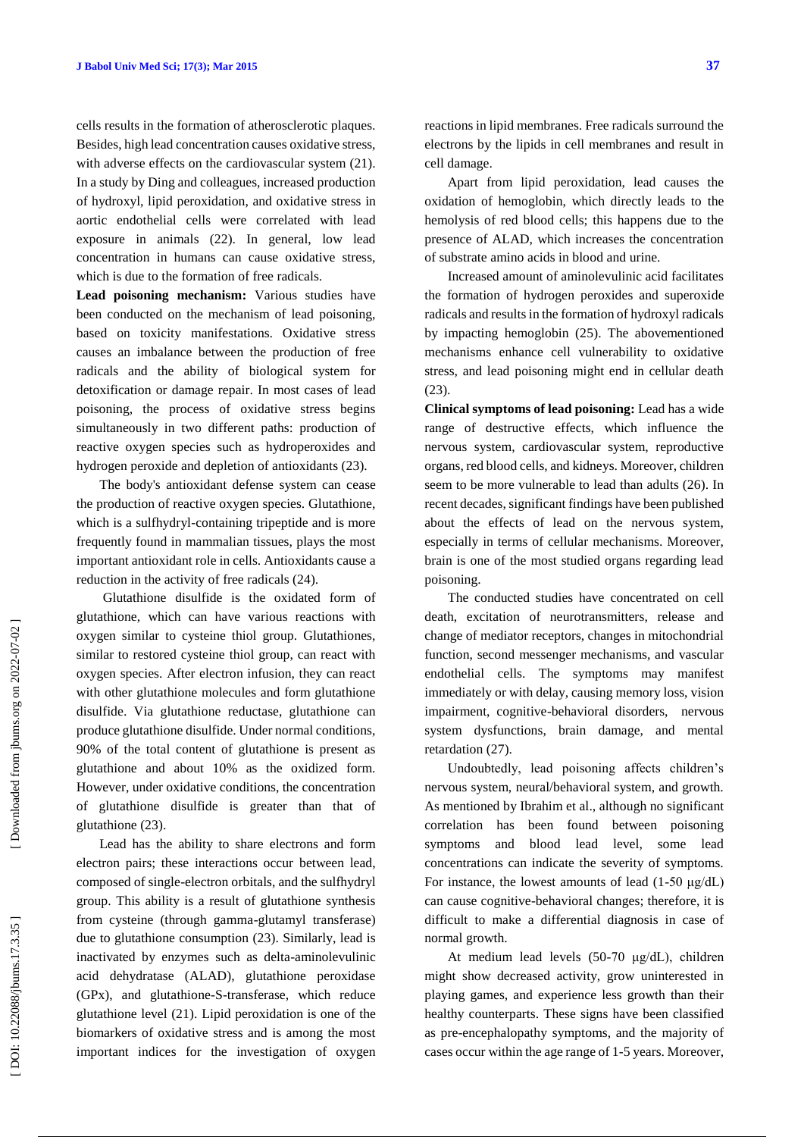cells results in the formation of atherosclerotic plaques. Besides, high lead concentration causes oxidative stress, with adverse effects on the cardiovascular system  $(21)$ . In a study by Ding and colleagues, increased production of hydroxyl, lipid peroxidation, and oxidative stress in aortic endothelial cells were correlated with lead exposure in animals (22). In general, low lead concentration in humans can cause oxidative stress, which is due to the formation of free radicals.

**Lead poisoning mechanism:** Various studies have been conducted on the mechanism of lead poisoning, based on toxicity manifestations. Oxidative stress causes an imbalance between the production of free radicals and the ability of biological system for detoxification or damage repair. In most cases of lead poisoning, the process of oxidative stress begins simultaneously in two different paths: production of reactive oxygen species such as hydroperoxides and hydrogen peroxide and depletion of antioxidants (23).

The body's antioxidant defense system can cease the production of reactive oxygen species. Glutathione, which is a sulfhydryl -containing tripeptide and is more frequently found in mammalian tissues, plays the most important antioxidant role in cells. Antioxidants cause a reduction in the activity of free radicals (24).

Glutathione disulfide is the oxidated form of glutathione, which can have various reactions with oxygen similar to cysteine thiol group. Glutathiones, similar to restored cysteine thiol group, can react with oxygen species. After electron infusion, they can react with other glutathione molecules and form glutathione disulfide. Via glutathione reductase, glutathione can produce glutathione disulfide. Under normal conditions, 90% of the total content of glutathione is present as glutathione and about 10% as the oxidized form. However, under oxidative conditions, the concentration of glutathione disulfide is greater than that of glutathione (23).

Lead has the ability to share electrons and form electron pairs; these interactions occur between lead, composed of single -electron orbitals, and the sulfhydryl group. This ability is a result of glutathione synthesis from cysteine (through gamma -glutamyl transferase) due to glutathione consumption (23). Similarly, lead is inactivated by enzymes such as delta -aminolevulinic acid dehydratase (ALAD), glutathione peroxidase (GPx), and glutathione - S -transferase, which reduce glutathione level (21). Lipid peroxidation is one of the biomarkers of oxidative stress and is among the most important indices for the investigation of oxygen

reactions in lipid membranes. Free radicals surround the electrons by the lipids in cell membranes and result in cell damage.

Apart from lipid peroxidation, lead causes the oxidation of hemoglobin, which directly leads to the hemolysis of red blood cells; this happens due to the presence of ALAD, which increases the concentration of substrate amino acids in blood and urine.

Increased amount of aminolevulinic acid facilitates the formation of hydrogen peroxides and superoxide radicals and results in the formation of hydroxyl radicals by impacting hemoglobin (25). The abovementioned mechanisms enhance cell vulnerability to oxidative stress, and lead poisoning might end in cellular death (23).

**Clinical symptoms of lead poisoning:** Lead has a wide range of destructive effects, which influence the nervous system, cardiovascular system, reproductive organs, red blood cells, and kidneys. Moreover, children seem to be more vulnerable to lead than adults (26). In recent decades, significant findings have been published about the effects of lead on the nervous system, especially in terms of cellular mechanisms. Moreover, brain is one of the most studied organs regarding lead poisoning.

The conducted studies have concentrated on cell death, excitation of neurotransmitters, release and change of mediator receptors, changes in mitochondrial function, second messenger mechanisms, and vascular endothelial cells. The symptoms may manifest immediately or with delay, causing memory loss, vision impairment, cognitive -behavioral disorders, nervous system dysfunctions, brain damage, and mental retardation (27).

Undoubtedly, lead poisoning affects children's nervous system, neural/behavioral system, and growth. As mentioned by Ibrahim et al., although no significant correlation has been found between poisoning symptoms and blood lead level, some lead concentrations can indicate the severity of symptoms. For instance, the lowest amounts of lead  $(1-50 \mu g/dL)$ can cause cognitive -behavioral changes; therefore, it is difficult to make a differential diagnosis in case of normal growth.

At medium lead levels (50 -70 μg/dL), children might show decreased activity, grow uninterested in playing games, and experience less growth than their healthy counterparts. These signs have been classified as pre -encephalopathy symptoms, and the majority of cases occur within the age range of 1 -5 years. Moreover,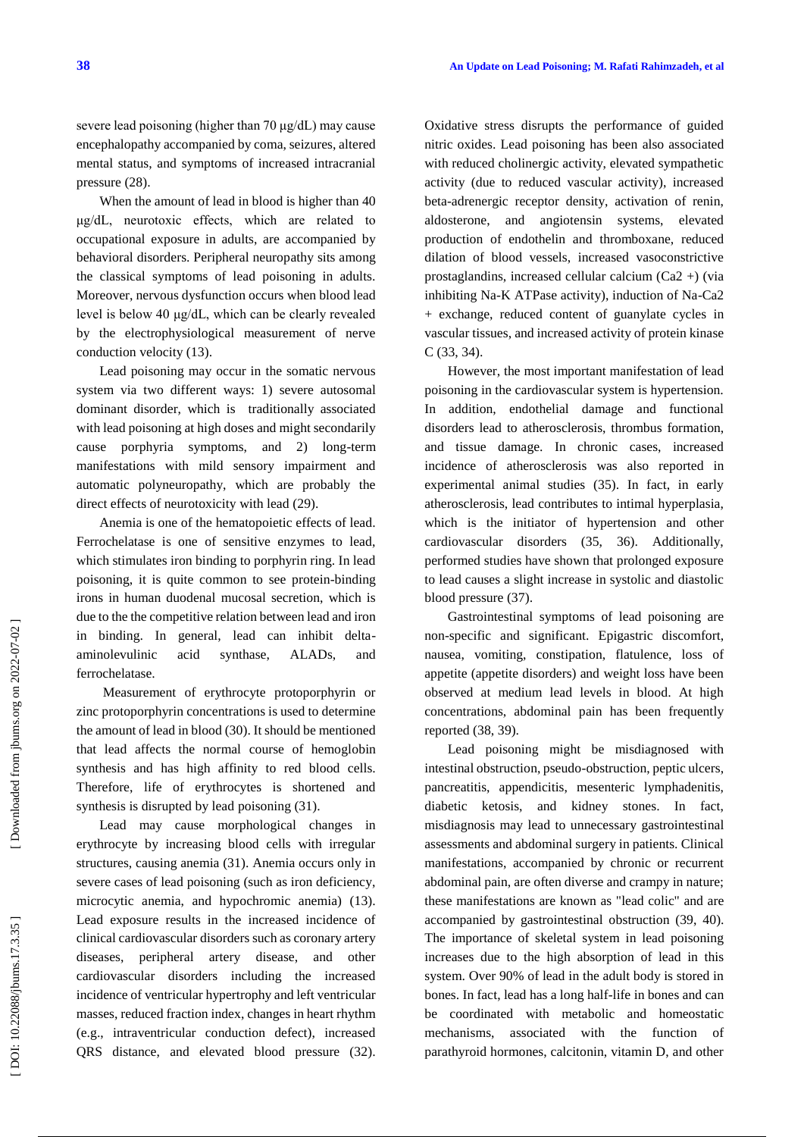severe lead poisoning (higher than 70 μg/dL) may cause encephalopathy accompanied by coma, seizures, altered mental status, and symptoms of increased intracranial pressure (28).

When the amount of lead in blood is higher than 40 μg/dL, neurotoxic effects, which are related to occupational exposure in adults, are accompanied by behavioral disorders. Peripheral neuropathy sits among the classical symptoms of lead poisoning in adults. Moreover, nervous dysfunction occurs when blood lead level is below 40 μg/dL, which can be clearly revealed by the electrophysiological measurement of nerve conduction velocity (13).

Lead poisoning may occur in the somatic nervous system via two different ways: 1) severe autosomal dominant disorder, which is traditionally associated with lead poisoning at high doses and might secondarily cause porphyria symptoms, and 2) long -term manifestations with mild sensory impairment and automatic polyneuropathy, which are probably the direct effects of neurotoxicity with lead (29).

Anemia is one of the hematopoietic effects of lead. Ferrochelatase is one of sensitive enzymes to lead, which stimulates iron binding to porphyrin ring. In lead poisoning, it is quite common to see protein -binding irons in human duodenal mucosal secretion, which is due to the the competitive relation between lead and iron in binding. In general, lead can inhibit delta aminolevulinic acid synthase, ALADs, and ferrochelatase.

Measurement of erythrocyte protoporphyrin or zinc protoporphyrin concentrations is used to determine the amount of lead in blood (30). It should be mentioned that lead affects the normal course of hemoglobin synthesis and has high affinity to red blood cells. Therefore, life of erythrocytes is shortened and synthesis is disrupted by lead poisoning (31).

Lead may cause morphological changes in erythrocyte by increasing blood cells with irregular structures, causing anemia (31). Anemia occurs only in severe cases of lead poisoning (such as iron deficiency, microcytic anemia, and hypochromic anemia) (13). Lead exposure results in the increased incidence of clinical cardiovascular disorders such as coronary artery diseases, peripheral artery disease, and other cardiovascular disorders including the increased incidence of ventricular hypertrophy and left ventricular masses, reduced fraction index, changes in heart rhythm (e.g., intraventricular conduction defect), increased QRS distance, and elevated blood pressure (32).

Oxidative stress disrupts the performance of guided nitric oxides. Lead poisoning has been also associated with reduced cholinergic activity, elevated sympathetic activity (due to reduced vascular activity), increased beta -adrenergic receptor density, activation of renin, aldosterone, and angiotensin systems, elevated production of endothelin and thromboxane, reduced dilation of blood vessels, increased vasoconstrictive prostaglandins, increased cellular calcium (Ca2 +) (via inhibiting Na -K ATPase activity), induction of Na -Ca2 + exchange, reduced content of guanylate cycles in vascular tissues, and increased activity of protein kinase C (33, 34).

However, the most important manifestation of lead poisoning in the cardiovascular system is hypertension. In addition, endothelial damage and functional disorders lead to atherosclerosis, thrombus formation, and tissue damage. In chronic cases, increased incidence of atherosclerosis was also reported in experimental animal studies (35). In fact, in early atherosclerosis, lead contributes to intimal hyperplasia, which is the initiator of hypertension and other cardiovascular disorders (35, 36). Additionally, performed studies have shown that prolonged exposure to lead causes a slight increase in systolic and diastolic blood pressure (37).

Gastrointestinal symptoms of lead poisoning are non -specific and significant. Epigastric discomfort, nausea, vomiting, constipation, flatulence, loss of appetite (appetite disorders) and weight loss have been observed at medium lead levels in blood. At high concentrations, abdominal pain has been frequently reported (38, 39).

Lead poisoning might be misdiagnosed with intestinal obstruction, pseudo -obstruction, peptic ulcers, pancreatitis, appendicitis, mesenteric lymphadenitis, diabetic ketosis, and kidney stones. In fact, misdiagnosis may lead to unnecessary gastrointestinal assessments and abdominal surgery in patients. Clinical manifestations, accompanied by chronic or recurrent abdominal pain, are often diverse and crampy in nature; these manifestations are known as "lead colic" and are accompanied by gastrointestinal obstruction (39, 40). The importance of skeletal system in lead poisoning increases due to the high absorption of lead in this system. Over 90% of lead in the adult body is stored in bones. In fact, lead has a long half-life in bones and can be coordinated with metabolic and homeostatic mechanisms, associated with the function of parathyroid hormones, calcitonin, vitamin D, and other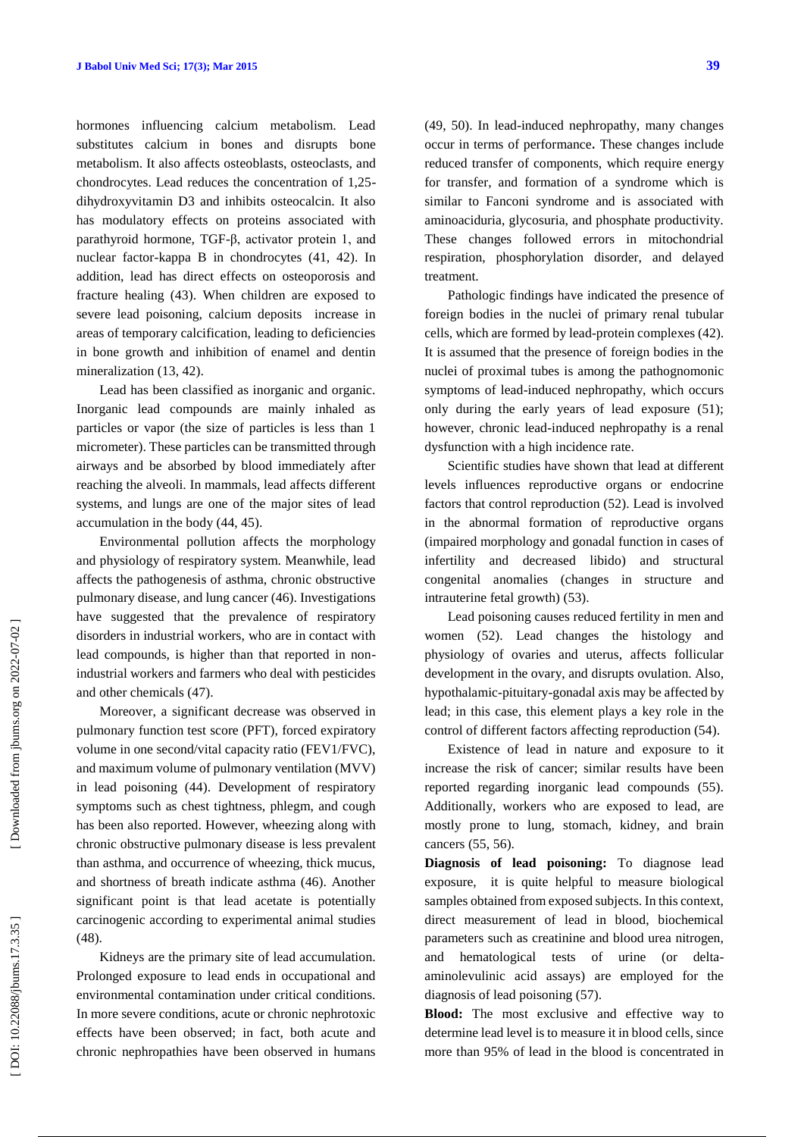hormones influencing calcium metabolism. Lead substitutes calcium in bones and disrupts bone metabolism. It also affects osteoblasts, osteoclasts, and chondrocytes. Lead reduces the concentration of 1,25 dihydroxyvitamin D3 and inhibits osteocalcin. It also has modulatory effects on proteins associated with parathyroid hormone, TGF -β, activator protein 1, and nuclear factor -kappa B in chondrocytes (41, 42). In addition, lead has direct effects on osteoporosis and fracture healing (43). When children are exposed to severe lead poisoning, calcium deposits increase in areas of temporary calcification, leading to deficiencies in bone growth and inhibition of enamel and dentin mineralization (13, 42).

Lead has been classified as inorganic and organic. Inorganic lead compounds are mainly inhaled as particles or vapor (the size of particles is less than 1 micrometer). These particles can be transmitted through airways and be absorbed by blood immediately after reaching the alveoli. In mammals, lead affects different systems, and lungs are one of the major sites of lead accumulation in the body (44, 45).

Environmental pollution affects the morphology and physiology of respiratory system. Meanwhile, lead affects the pathogenesis of asthma, chronic obstructive pulmonary disease, and lung cancer (46). Investigations have suggested that the prevalence of respiratory disorders in industrial workers, who are in contact with lead compounds, is higher than that reported in non industrial workers and farmers who deal with pesticides and other chemicals (47).

Moreover, a significant decrease was observed in pulmonary function test score (PFT), forced expiratory volume in one second/vital capacity ratio (FEV1/FVC), and maximum volume of pulmonary ventilation (MVV) in lead poisoning (44). Development of respiratory symptoms such as chest tightness, phlegm, and cough has been also reported. However, wheezing along with chronic obstructive pulmonary disease is less prevalent than asthma, and occurrence of wheezing, thick mucus, and shortness of breath indicate asthma (46). Another significant point is that lead acetate is potentially carcinogenic according to experimental animal studies (48).

Kidneys are the primary site of lead accumulation. Prolonged exposure to lead ends in occupational and environmental contamination under critical conditions. In more severe conditions, acute or chronic nephrotoxic effects have been observed; in fact, both acute and chronic nephropathies have been observed in humans

(49, 50). In lead -induced nephropathy, many changes occur in terms of performance. These changes include reduced transfer of components, which require energy for transfer, and formation of a syndrome which is similar to Fanconi syndrome and is associated with aminoaciduria, glycosuria, and phosphate productivity. These changes followed errors in mitochondrial respiration, phosphorylation disorder, and delayed treatment.

Pathologic findings have indicated the presence of foreign bodies in the nuclei of primary renal tubular cells, which are formed by lead -protein complexes (42). It is assumed that the presence of foreign bodies in the nuclei of proximal tubes is among the pathognomonic symptoms of lead -induced nephropathy, which occurs only during the early years of lead exposure (51); however, chronic lead -induced nephropathy is a renal dysfunction with a high incidence rate.

Scientific studies have shown that lead at different levels influences reproductive organs or endocrine factors that control reproduction (52). Lead is involved in the abnormal formation of reproductive organs (impaired morphology and gonadal function in cases of infertility and decreased libido) and structural congenital anomalies (changes in structure and intrauterine fetal growth) (53).

Lead poisoning causes reduced fertility in men and women (52). Lead changes the histology and physiology of ovaries and uterus, affects follicular development in the ovary, and disrupts ovulation. Also, hypothalamic -pituitary -gonadal axis may be affected by lead; in this case, this element plays a key role in the control of different factors affecting reproduction (54).

Existence of lead in nature and exposure to it increase the risk of cancer; similar results have been reported regarding inorganic lead compounds (55). Additionally, workers who are exposed to lead, are mostly prone to lung, stomach, kidney, and brain cancers (55, 56).

**Diagnosis of lead poisoning:** To diagnose lead exposure, it is quite helpful to measure biological samples obtained from exposed subjects. In this context, direct measurement of lead in blood, biochemical parameters such as creatinine and blood urea nitrogen, and hematological tests of urine (or delta aminolevulinic acid assays) are employed for the diagnosis of lead poisoning (57).

**Blood :** The most exclusive and effective way to determine lead level is to measure it in blood cells, since more than 95% of lead in the blood is concentrated in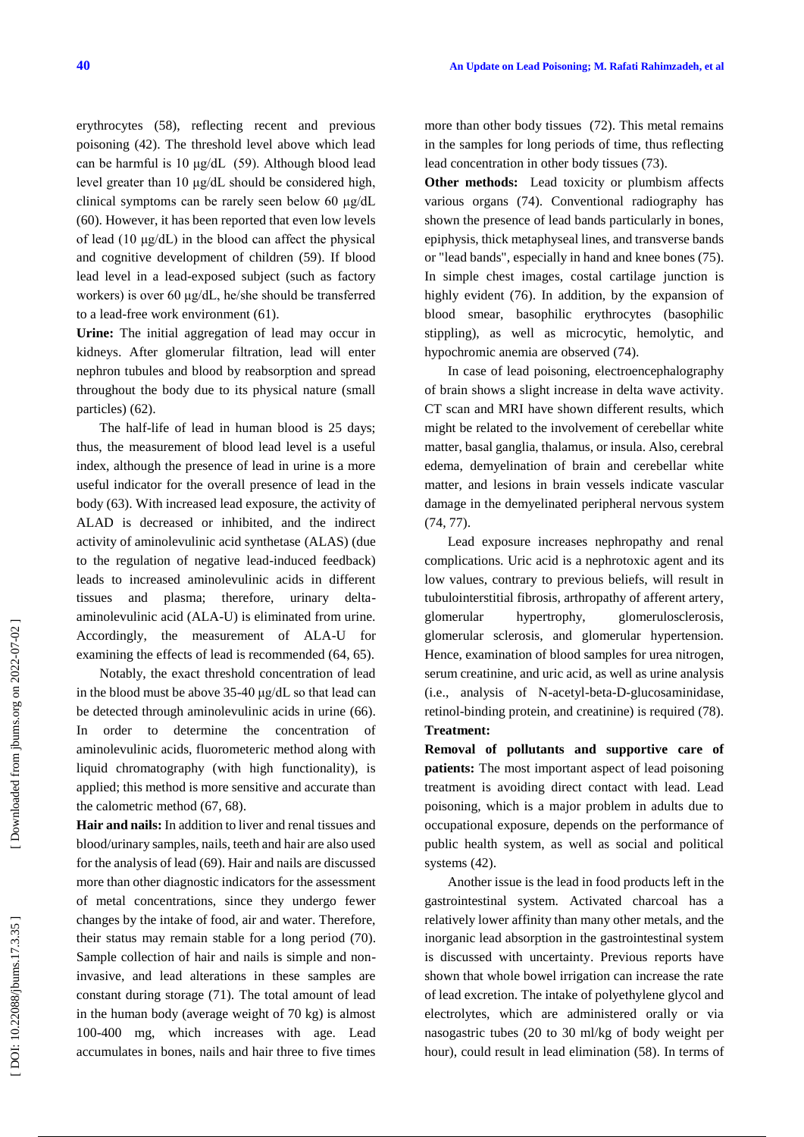erythrocytes (58), reflecting recent and previous poisoning (42). The threshold level above which lead can be harmful is 10 μg/dL (59). Although blood lead level greater than 10 μg/dL should be considered high, clinical symptoms can be rarely seen below 60 μg/dL (60). However, it has been reported that even low levels of lead (10 μg/dL) in the blood can affect the physical and cognitive development of children (59). If blood lead level in a lead -exposed subject (such as factory workers) is over 60 μg/dL, he/she should be transferred to a lead -free work environment (61).

**Urine:** The initial aggregation of lead may occur in kidneys. After glomerular filtration, lead will enter nephron tubules and blood by reabsorption and spread throughout the body due to its physical nature (small particles) (62).

The half-life of lead in human blood is 25 days; thus, the measurement of blood lead level is a useful index, although the presence of lead in urine is a more useful indicator for the overall presence of lead in the body (63). With increased lead exposure, the activity of ALAD is decreased or inhibited, and the indirect activity of aminolevulinic acid synthetase (ALAS) (due to the regulation of negative lead -induced feedback) leads to increased aminolevulinic acids in different tissues and plasma; therefore, urinary delta aminolevulinic acid (ALA -U) is eliminated from urine. Accordingly, the measurement of ALA -U for examining the effects of lead is recommended (64, 65).

Notably, the exact threshold concentration of lead in the blood must be above 35 -40 μg/dL so that lead can be detected through aminolevulinic acids in urine (66). In order to determine the concentration of aminolevulinic acids, fluorometeric method along with liquid chromatography (with high functionality), is applied; this method is more sensitive and accurate than the calometric method (67, 68).

**Hair and nails:** In addition to liver and renal tissues and blood/urinary samples, nails, teeth and hair are also used for the analysis of lead (69). Hair and nails are discussed more than other diagnostic indicators for the assessment of metal concentrations, since they undergo fewer changes by the intake of food, air and water. Therefore, their status may remain stable for a long period (70). Sample collection of hair and nails is simple and non invasive, and lead alterations in these samples are constant during storage (71). The total amount of lead in the human body (average weight of 70 kg) is almost 100 -400 mg, which increases with age. Lead accumulates in bones, nails and hair three to five times

more than other body tissues (72). This metal remains in the samples for long periods of time, thus reflecting lead concentration in other body tissues (73).

**Other methods:** Lead toxicity or plumbism affects various organs (74). Conventional radiography has shown the presence of lead bands particularly in bones, epiphysis, thick metaphyseal lines, and transverse bands or "lead bands", especially in hand and knee bones (75). In simple chest images, costal cartilage junction is highly evident (76). In addition, by the expansion of blood smear, basophilic erythrocytes (basophilic stippling), as well as microcytic, hemolytic, and hypochromic anemia are observed (74).

In case of lead poisoning, electroencephalography of brain shows a slight increase in delta wave activity. CT scan and MRI have shown different results, which might be related to the involvement of cerebellar white matter, basal ganglia, thalamus, or insula. Also, cerebral edema, demyelination of brain and cerebellar white matter, and lesions in brain vessels indicate vascular damage in the demyelinated peripheral nervous system (74, 77).

Lead exposure increases nephropathy and renal complications. Uric acid is a nephrotoxic agent and its low values, contrary to previous beliefs, will result in tubulointerstitial fibrosis, arthropathy of afferent artery, glomerular hypertrophy, glomerulosclerosis, glomerular sclerosis, and glomerular hypertension. Hence, examination of blood samples for urea nitrogen, serum creatinine, and uric acid, as well as urine analysis (i.e., analysis of N -acetyl -beta - D -glucosaminidase, retinol -binding protein, and creatinine) is required (78). **Treatment :**

**Removal of pollutants and supportive care of patients:** The most important aspect of lead poisoning treatment is avoiding direct contact with lead. Lead poisoning, which is a major problem in adults due to occupational exposure, depends on the performance of public health system, as well as social and political systems (42).

Another issue is the lead in food products left in the gastrointestinal system. Activated charcoal has a relatively lower affinity than many other metals, and the inorganic lead absorption in the gastrointestinal system is discussed with uncertainty. Previous reports have shown that whole bowel irrigation can increase the rate of lead excretion. The intake of polyethylene glycol and electrolytes, which are administered orally or via nasogastric tubes (20 to 30 ml/kg of body weight per hour), could result in lead elimination (58). In terms of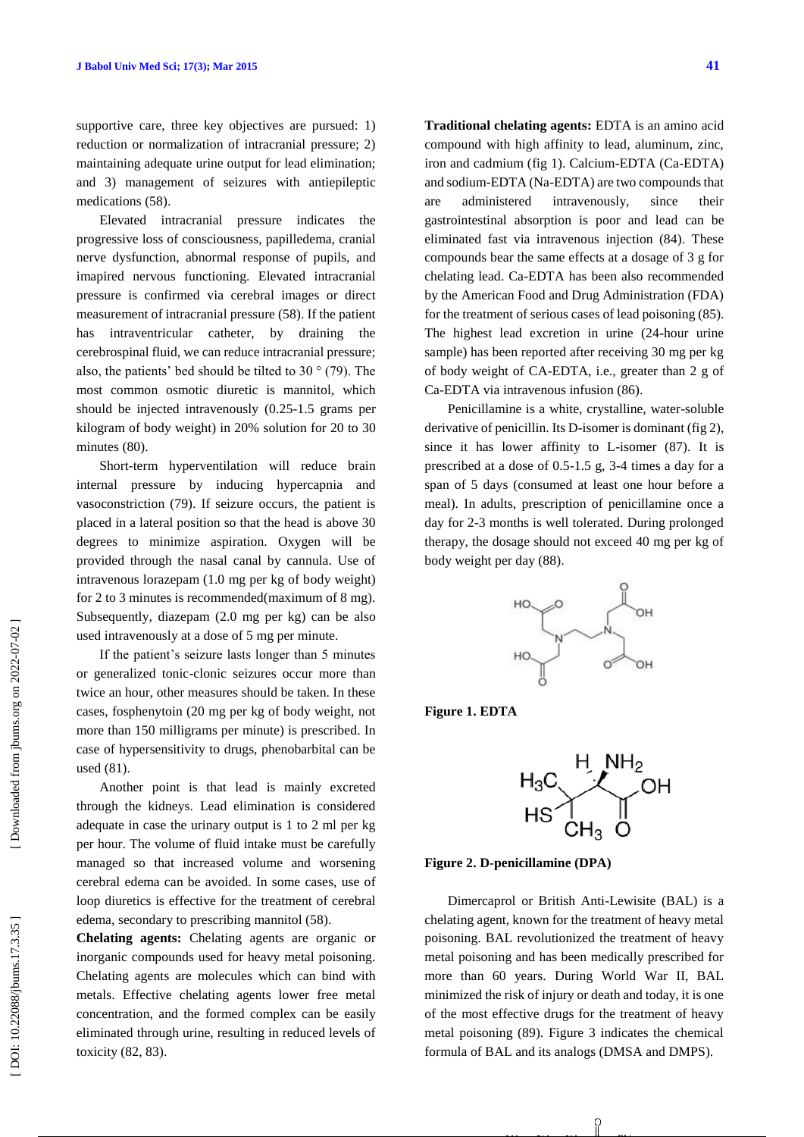supportive care, three key objectives are pursued: 1) reduction or normalization of intracranial pressure; 2) maintaining adequate urine output for lead elimination; and 3) management of seizures with antiepileptic medications (58).

Elevated intracranial pressure indicates the progressive loss of consciousness, papilledema, cranial nerve dysfunction, abnormal response of pupils, and imapired nervous functioning. Elevated intracranial pressure is confirmed via cerebral images or direct measurement of intracranial pressure (58). If the patient has intraventricular catheter, by draining the cerebrospinal fluid, we can reduce intracranial pressure; also, the patients' bed should be tilted to 30 $\degree$  (79). The most common osmotic diuretic is mannitol, which should be injected intravenously (0.25 -1.5 grams per kilogram of body weight) in 20% solution for 20 to 30 minutes (80).

Short -term hyperventilation will reduce brain internal pressure by inducing hypercapnia and vasoconstriction (79). If seizure occurs, the patient is placed in a lateral position so that the head is above 30 degrees to minimize aspiration. Oxygen will be provided through the nasal canal by cannula. Use of intravenous lorazepam (1.0 mg per kg of body weight) for 2 to 3 minutes is recommended(maximum of 8 mg). Subsequently, diazepam (2.0 mg per kg) can be also used intravenously at a dose of 5 mg per minute.

If the patient's seizure lasts longer than 5 minutes or generalized tonic -clonic seizures occur more than twice an hour, other measures should be taken. In these cases, fosphenytoin (20 mg per kg of body weight, not more than 150 milligrams per minute) is prescribed. In case of hypersensitivity to drugs, phenobarbital can be used (81).

Another point is that lead is mainly excreted through the kidneys. Lead elimination is considered adequate in case the urinary output is 1 to 2 ml per kg per hour. The volume of fluid intake must be carefully managed so that increased volume and worsening cerebral edema can be avoided. In some cases, use of loop diuretics is effective for the treatment of cerebral edema, secondary to prescribing mannitol (58).

**Chelating agents:** Chelating agents are organic or inorganic compounds used for heavy metal poisoning. Chelating agents are molecules which can bind with metals. Effective chelating agents lower free metal concentration, and the formed complex can be easily eliminated through urine, resulting in reduced levels of toxicity (82, 83).

**Traditional chelating agents :** EDTA is an amino acid compound with high affinity to lead, aluminum, zinc, iron and cadmium ( fig 1). Calcium -EDTA (Ca -EDTA) and sodium -EDTA (Na -EDTA) are two compounds that are administered intravenously, since their gastrointestinal absorption is poor and lead can be eliminated fast via intravenous injection (84). These compounds bear the same effects at a dosage of 3 g for chelating lead. Ca -EDTA has been also recommended by the American Food and Drug Administration (FDA) for the treatment of serious cases of lead poisoning (85). The highest lead excretion in urine (24 -hour urine sample) has been reported after receiving 30 mg per kg of body weight of CA -EDTA, i.e., greater than 2 g of Ca -EDTA via intravenous infusion (86).

Penicillamine is a white, crystalline, water -soluble derivative of penicillin. Its D -isomer is dominant ( fig 2), since it has lower affinity to L -isomer (87). It is prescribed at a dose of 0.5 -1.5 g, 3 -4 times a day for a span of 5 days (consumed at least one hour before a meal). In adults, prescription of penicillamine once a day for 2 -3 months is well tolerated. During prolonged therapy, the dosage should not exceed 40 mg per kg of body weight per day (88).







### **Figure 2 . D -penicillamine (DPA)**

Dimercaprol or British Anti -Lewisite (BAL) is a chelating agent, known for the treatment of heavy metal poisoning. BAL revolutionized the treatment of heavy metal poisoning and has been medically prescribed for more than 60 years. During World War II, BAL minimized the risk of injury or death and today, it is one of the most effective drugs for the treatment of heavy metal poisoning (89). Figure 3 indicates the chemical formula of BAL and its analogs (DMSA and DMPS).

ပူ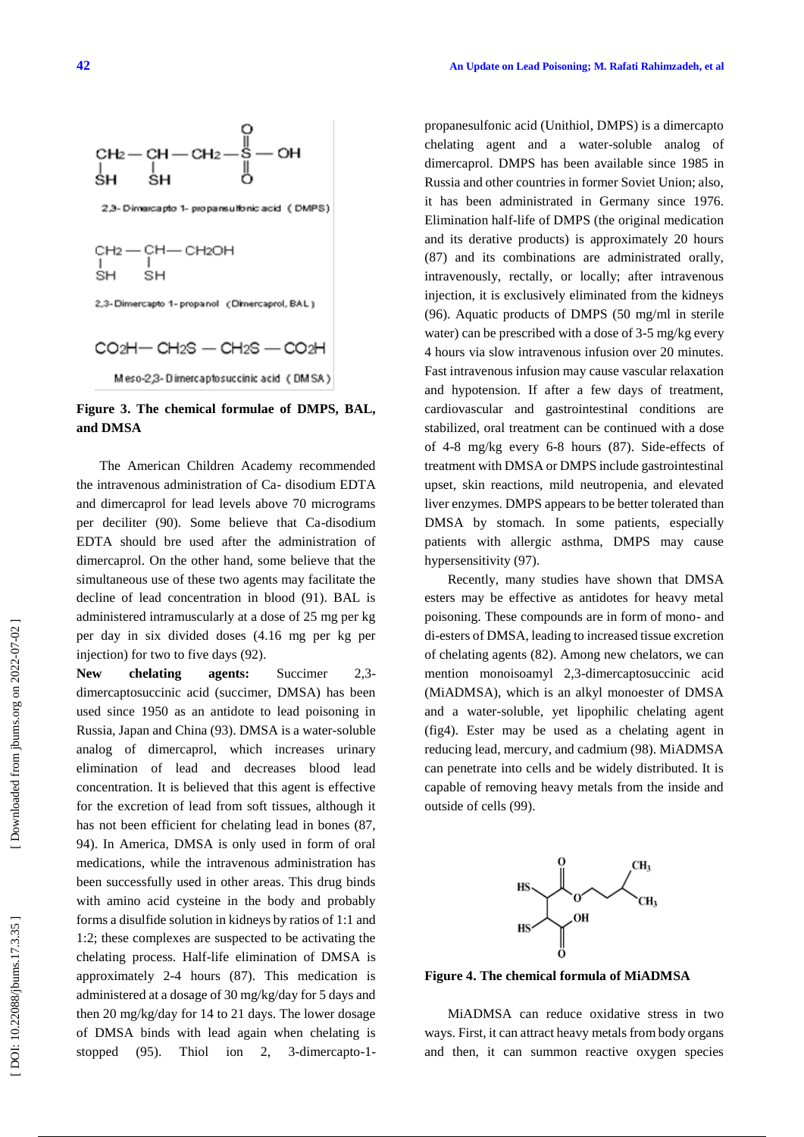$$
\begin{array}{ccc}\n\text{CH}_2-\text{CH}-\text{CH}_2-\text{S}-\text{OH} \\
\downarrow & \downarrow & \downarrow \\
\text{SH} & \text{SH} & \text{O}\n\end{array}
$$

2,3- Dimercapto 1- propansultonic acid (DMPS)

2,3-Dimercapto 1- propanol (Dimercaprol, BAL)

$$
CO_2H-CH_2S-CH_2S-CO_2H
$$

Meso-2,3-Dimercaptosuccinic acid (DMSA)

## **Figure 3 . The chemical formulae of DMPS, BAL, and DMSA**

The American Children Academy recommended the intravenous administration of Ca - disodium EDTA and dimercaprol for lead levels above 70 micrograms per deciliter (90). Some believe that Ca -disodium EDTA should bre used after the administration of dimercaprol. On the other hand, some believe that the simultaneous use of these two agents may facilitate the decline of lead concentration in blood (91). BAL is administered intramuscularly at a dose of 25 mg per kg per day in six divided doses (4.16 mg per kg per injection) for two to five days (92).

**New chelating agents:** Succimer  $2.3$ dimercaptosuccinic acid (succimer, DMSA) has been used since 1950 as an antidote to lead poisoning in Russia, Japan and China (93). DMSA is a water -soluble analog of dimercaprol, which increases urinary elimination of lead and decreases blood lead concentration. It is believed that this agent is effective for the excretion of lead from soft tissues, although it has not been efficient for chelating lead in bones (87, 94). In America, DMSA is only used in form of oral medications, while the intravenous administration has been successfully used in other areas. This drug binds with amino acid cysteine in the body and probably forms a disulfide solution in kidneys by ratios of 1:1 and 1:2; these complexes are suspected to be activating the chelating process. Half -life elimination of DMSA is approximately 2 -4 hours (87). This medication is administered at a dosage of 30 mg/kg/day for 5 days and then 20 mg/kg/day for 14 to 21 days. The lower dosage of DMSA binds with lead again when chelating is stopped (95). Thiol ion 2, 3 -dimercapto - 1 -

propanesulfonic acid (Unithiol, DMPS) is a dimercapto chelating agent and a water -soluble analog of dimercaprol. DMPS has been available since 1985 in Russia and other countries in former Soviet Union; also, it has been administrated in Germany since 1976. Elimination half -life of DMPS (the original medication and its derative products) is approximately 20 hours (87) and its combinations are administrated orally, intravenously, rectally, or locally; after intravenous injection, it is exclusively eliminated from the kidneys (96). Aquatic products of DMPS (50 mg/ml in sterile water) can be prescribed with a dose of 3 -5 mg/kg every 4 hours via slow intravenous infusion over 20 minutes. Fast intravenous infusion may cause vascular relaxation and hypotension. If after a few days of treatment, cardiovascular and gastrointestinal conditions are stabilized, oral treatment can be continued with a dose of 4 -8 mg/kg every 6 -8 hours (87). Side -effects of treatment with DMSA or DMPS include gastrointestinal upset, skin reactions, mild neutropenia, and elevated liver enzymes. DMPS appears to be better tolerated than DMSA by stomach. In some patients, especially patients with allergic asthma, DMPS may cause hypersensitivity (97).

Recently, many studies have shown that DMSA esters may be effective as antidotes for heavy metal poisoning. These compounds are in form of mono- and di -esters of DMSA, leading to increased tissue excretion of chelating agents (82). Among new chelators, we can mention monoisoamyl 2,3 -dimercaptosuccinic acid (MiADMSA), which is an alkyl monoester of DMSA and a water -soluble, yet lipophilic chelating agent ( fig4). Ester may be used as a chelating agent in reducing lead, mercury, and cadmium (98). MiADMSA can penetrate into cells and be widely distributed. It is capable of removing heavy metals from the inside and outside of cells (99).



**Figure 4 . The chemical formula of MiADMSA**

MiADMSA can reduce oxidative stress in two ways. First, it can attract heavy metals from body organs and then, it can summon reactive oxygen species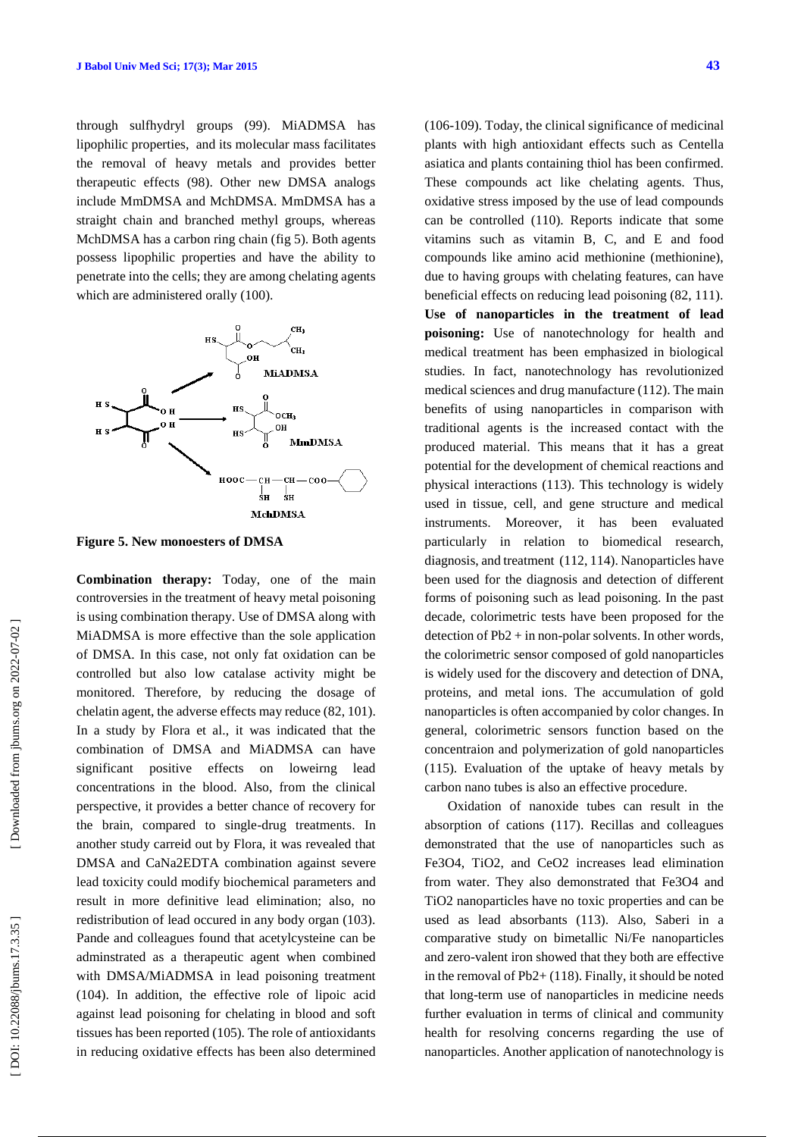through sulfhydryl groups (99). MiADMSA has lipophilic properties, and its molecular mass facilitates the removal of heavy metals and provides better therapeutic effects (98). Other new DMSA analogs include MmDMSA and MchDMSA. MmDMSA has a straight chain and branched methyl groups, whereas MchDMSA has a carbon ring chain ( fig 5). Both agents possess lipophilic properties and have the ability to penetrate into the cells; they are among chelating agents which are administered orally (100).



**Figure 5 . New monoesters of DMSA**

**Combination therapy:** Today, one of the main controversies in the treatment of heavy metal poisoning is using combination therapy. Use of DMSA along with MiADMSA is more effective than the sole application of DMSA. In this case, not only fat oxidation can be controlled but also low catalase activity might be monitored. Therefore, by reducing the dosage of chelatin agent, the adverse effects may reduce (82, 101). In a study by Flora et al., it was indicated that the combination of DMSA and MiADMSA can have significant positive effects on loweirng lead concentrations in the blood. Also, from the clinical perspective, it provides a better chance of recovery for the brain, compared to single -drug treatments. In another study carreid out by Flora, it was revealed that DMSA and CaNa2EDTA combination against severe lead toxicity could modify biochemical parameters and result in more definitive lead elimination; also, no redistribution of lead occured in any body organ (103). Pande and colleagues found that acetylcysteine can be adminstrated as a therapeutic agent when combined with DMSA/MiADMSA in lead poisoning treatment (104). In addition, the effective role of lipoic acid against lead poisoning for chelating in blood and soft tissues has been reported (105). The role of antioxidants in reducing oxidative effects has been also determined

(106 -109). Today, the clinical significance of medicinal plants with high antioxidant effects such as Centella asiatica and plants containing thiol has been confirmed. These compounds act like chelating agents. Thus, oxidative stress imposed by the use of lead compounds can be controlled (110). Reports indicate that some vitamins such as vitamin B, C, and E and food compounds like amino acid methionine (methionine), due to having groups with chelating features, can have beneficial effects on reducing lead poisoning (82, 111). **Use of nanoparticles in the treatment of lead poisoning:** Use of nanotechnology for health and medical treatment has been emphasized in biological studies. In fact, nanotechnology has revolutionized medical sciences and drug manufacture (112). The main benefits of using nanoparticles in comparison with traditional agents is the increased contact with the produced material. This means that it has a great potential for the development of chemical reactions and physical interactions (113). This technology is widely used in tissue, cell, and gene structure and medical instruments. Moreover, it has been evaluated particularly in relation to biomedical research, diagnosis, and treatment (112, 114). Nanoparticles have been used for the diagnosis and detection of different forms of poisoning such as lead poisoning. In the past decade, colorimetric tests have been proposed for the detection of Pb2 + in non -polar solvents. In other words, the colorimetric sensor composed of gold nanoparticles is widely used for the discovery and detection of DNA, proteins, and metal ions. The accumulation of gold nanoparticles is often accompanied by color changes. In general, colorimetric sensors function based on the concentraion and polymerization of gold nanoparticles (115). Evaluation of the uptake of heavy metals by carbon nano tubes is also an effective procedure.

Oxidation of nanoxide tubes can result in the absorption of cations (117). Recillas and colleagues demonstrated that the use of nanoparticles such as Fe3O4, TiO2, and CeO2 increases lead elimination from water. They also demonstrated that Fe3O4 and TiO2 nanoparticles have no toxic properties and can be used as lead absorbants (113). Also, Saberi in a comparative study on bimetallic Ni/Fe nanoparticles and zero -valent iron showed that they both are effective in the removal of Pb2+ (118). Finally, it should be noted that long -term use of nanoparticles in medicine needs further evaluation in terms of clinical and community health for resolving concerns regarding the use of nanoparticles. Another application of nanotechnology is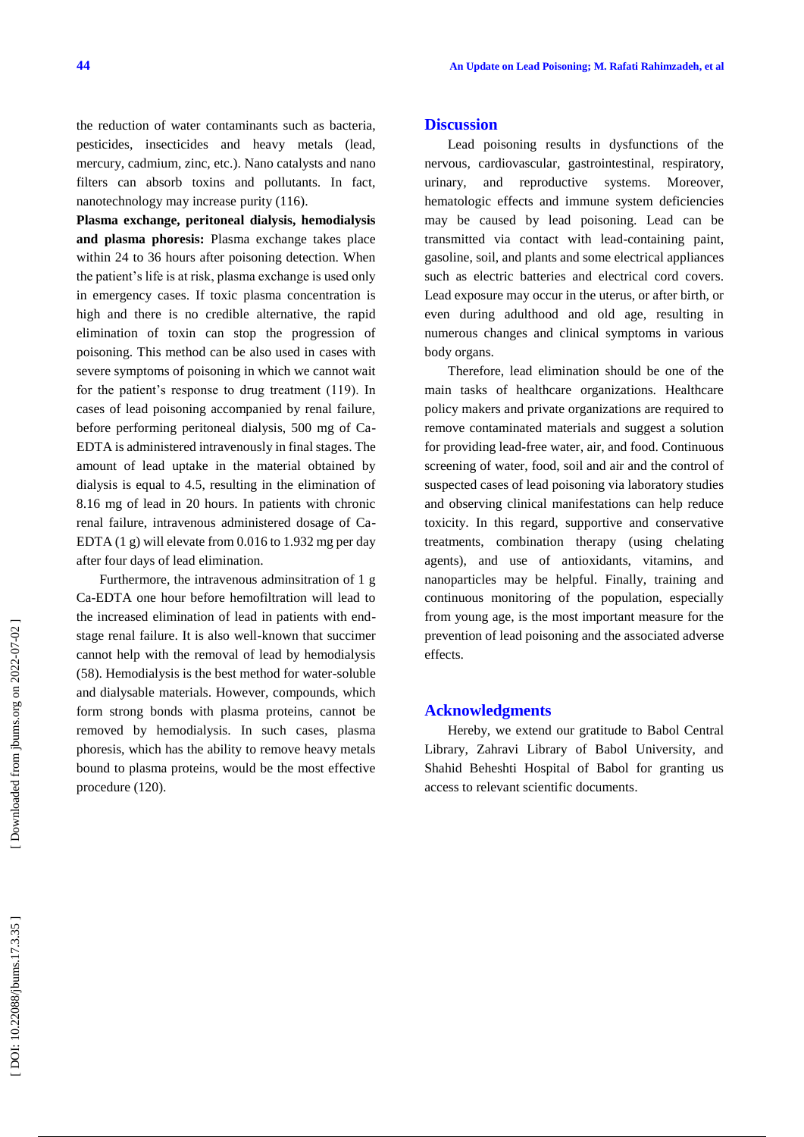the reduction of water contaminants such as bacteria, pesticides, insecticides and heavy metals (lead, mercury, cadmium, zinc, etc.). Nano catalysts and nano filters can absorb toxins and pollutants. In fact, nanotechnology may increase purity (116).

**Plasma exchange, peritoneal dialysis, hemodialysis and plasma phoresis:** Plasma exchange takes place within 24 to 36 hours after poisoning detection. When the patient's life is at risk, plasma exchange is used only in emergency cases. If toxic plasma concentration is high and there is no credible alternative, the rapid elimination of toxin can stop the progression of poisoning. This method can be also used in cases with severe symptoms of poisoning in which we cannot wait for the patient's response to drug treatment (119). In cases of lead poisoning accompanied by renal failure, before performing peritoneal dialysis, 500 mg of Ca - EDTA is administered intravenously in final stages. The amount of lead uptake in the material obtained by dialysis is equal to 4.5, resulting in the elimination of 8.16 mg of lead in 20 hours. In patients with chronic renal failure, intravenous administered dosage of Ca - EDTA (1 g) will elevate from 0.016 to 1.932 mg per day after four days of lead elimination.

Furthermore, the intravenous adminsitration of 1 g Ca -EDTA one hour before hemofiltration will lead to the increased elimination of lead in patients with end stage renal failure. It is also well -known that succimer cannot help with the removal of lead by hemodialysis (58). Hemodialysis is the best method for water -soluble and dialysable materials. However, compounds, which form strong bonds with plasma proteins, cannot be removed by hemodialysis. In such cases, plasma phoresis, which has the ability to remove heavy metals bound to plasma proteins, would be the most effective procedure (120).

# **Discussion**

Lead poisoning results in dysfunctions of the nervous, cardiovascular, gastrointestinal, respiratory, urinary, and reproductive systems. Moreover, hematologic effects and immune system deficiencies may be caused by lead poisoning. Lead can be transmitted via contact with lead -containing paint, gasoline, soil, and plants and some electrical appliances such as electric batteries and electrical cord covers. Lead exposure may occur in the uterus, or after birth, or even during adulthood and old age, resulting in numerous changes and clinical symptoms in various body organs.

Therefore, lead elimination should be one of the main tasks of healthcare organizations. Healthcare policy makers and private organizations are required to remove contaminated materials and suggest a solution for providing lead -free water, air, and food. Continuous screening of water, food, soil and air and the control of suspected cases of lead poisoning via laboratory studies and observing clinical manifestations can help reduce toxicity. In this regard, supportive and conservative treatments, combination therapy (using chelating agents), and use of antioxidants, vitamins, and nanoparticles may be helpful. Finally, training and continuous monitoring of the population, especially from young age, is the most important measure for the prevention of lead poisoning and the associated adverse effects.

# **Acknowledgments**

Hereby, we extend our gratitude to Babol Central Library, Zahravi Library of Babol University, and Shahid Beheshti Hospital of Babol for granting us access to relevant scientific documents .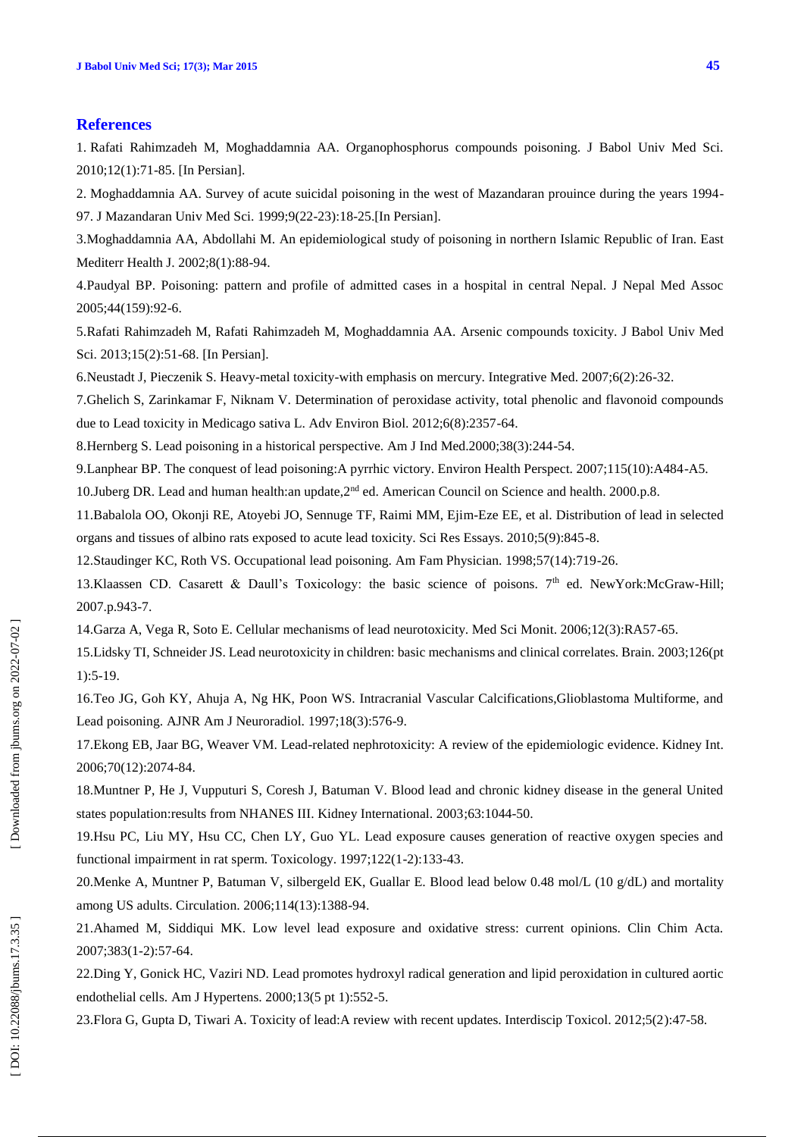# **References**

1. Rafati Rahimzadeh M, Moghaddamnia AA. Organophosphorus compounds poisoning. J Babol Univ Med Sci. 2010;12(1):71 -85. [In Persian].

2. Moghaddamnia AA. Survey of acute suicidal poisoning in the west of Mazandaran prouince during the years 1994 - 97. J Mazandaran Univ Med Sci. 1999;9(22 -23):18 -25.[In Persian].

3.Moghaddamnia AA, Abdollahi M. An epidemiological study of poisoning in northern Islamic Republic of Iran. East Mediterr Health J. 2002;8(1):88 -94.

4.Paudyal BP. Poisoning: pattern and profile of admitted cases in a hospital in central Nepal. J Nepal Med Assoc 2005;44(159):92 -6.

5.Rafati Rahimzadeh M, Rafati Rahimzadeh M, Moghaddamnia AA. Arsenic compounds toxicity. J Babol Univ Med Sci. 2013;15(2):51 -68. [In Persian].

6.Neustadt J, Pieczenik S. Heavy -metal toxicity -with emphasis on mercury. Integrative Med. 2007;6(2):26 -32.

7.Ghelich S, Zarinkamar F, Niknam V. Determination of peroxidase activity, total phenolic and flavonoid compounds due to Lead toxicity in Medicago sativa L. Adv Environ Biol. 2012;6(8):2357 -64.

8.Hernberg S. Lead poisoning in a historical perspective. Am J Ind Med.2000;38(3):244 -54.

9.Lanphear BP. The conquest of lead poisoning:A pyrrhic victory. Environ Health Perspect. 2007;115(10):A484 -A5.

10.Juberg DR. Lead and human health:an update,2nd ed. American Council on Science and health. 2000.p.8.

11.Babalola OO, Okonji RE, Atoyebi JO, Sennuge TF, Raimi MM, Eji m -Eze EE, et al. Distribution of lead in selected organs and tissues of albino rats exposed to acute lead toxicity. Sci Res Essays. 2010;5(9):845 -8.

12.Staudinger KC, Roth VS. Occupational lead poisoning. Am Fam Physician. 1998;57(14):719 -26.

13.Klaassen CD. Casarett & Daull's Toxicology: the basic science of poisons. 7<sup>th</sup> ed. NewYork:McGraw-Hill; 2007.p.943 -7.

14.Garza A, Vega R, Soto E. Cellular mechanisms of lead neurotoxicity. Med Sci Monit. 2006;12(3):RA57 -65.

15.Lidsky TI, Schneider JS. Lead neurotoxicity in children: basic mechanisms and clinical correlates. Brain. 2003;126(pt 1):5 -19.

16.Teo JG, Goh KY, Ahuja A, Ng HK, Poon WS. Intracranial Vascular Calcifications,Glioblastoma Multiforme, and Lead poisoning. [AJNR Am J Neuroradiol.](http://www.ncbi.nlm.nih.gov/pubmed/?term=Intracranial+Vascular+Calcifications%2CGlioblastoma+Multiforme%2C+and+Lead+poisoning) 1997;18(3):576 -9.

17. Ekong EB, Jaar BG, Weaver VM. Lead-related nephrotoxicity: A review of the epidemiologic evidence. Kidney Int. 2006;70(12):2074 -84.

18.Muntner P, He J, Vupputuri S, Coresh J, Batuman V. Blood lead and chronic kidney disease in the general United states population:results from NHANES III. Kidney International. 2003;63:1044 -50.

19.Hsu PC, Liu MY, Hsu CC, Chen LY, Guo YL. Lead exposure causes generation of reactive oxygen species and functional impairment in rat sperm. Toxicology. 1997;122(1 -2):133 -43.

20.Menke A, Muntner P, Batuman V, silbergeld EK, Guallar E. Blood lead below 0.48 mol/L (10 g/dL) and mortality among US adults. Circulation. 2006;114(13):1388 -94.

21.Ahamed M, Siddiqui MK. Low level lead exposure and oxidative stress: current opinions. Clin Chim Acta. 2007;383(1 -2):57 -64.

22.Ding Y, Gonick HC, Vaziri ND. Lead promotes hydroxyl radical generation and lipid peroxidation in cultured aortic endothelial cells. Am J Hypertens. 2000;13(5 pt 1):552 -5.

23.Flora G, Gupta D, Tiwari A. Toxicity of lead:A review with recent updates. Interdiscip Toxicol. 2012;5(2):47 -58.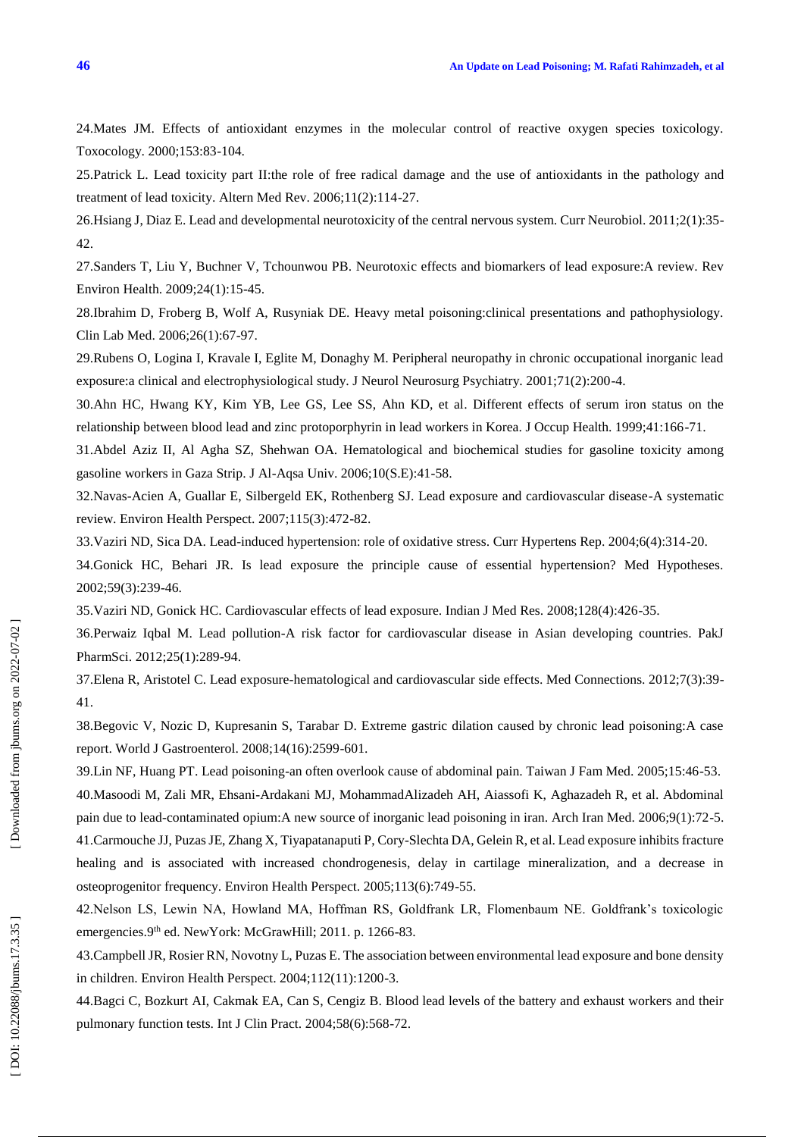24.Mates JM. Effects of antioxidant enzymes in the molecular control of reactive oxygen species toxicology. Toxocology. 2000;153:83 -104.

25.Patrick L. Lead toxicity part II:the role of free radical damage and the use of antioxidants in the pathology and treatment of lead toxicity. Altern Med Rev. 2006;11(2):114 -27.

26.Hsiang J, Diaz E. Lead and developmental neurotoxicity of the central nervous system. Curr Neurobiol. 2011;2(1):35 - 42.

27.Sanders T, Liu Y, Buchner V, Tchounwou PB. Neurotoxic effects and biomarkers of lead exposure:A review. Rev Environ Health. 2009;24(1):15 -45.

28.Ibrahim D, Froberg B, Wolf A, Rusyniak DE. Heavy metal poisoning:clinical presentations and pathophysiology. Clin Lab Med. 2006;26(1):67 -97.

29.Rubens O, Logina I, Kravale I, Eglite M, Donaghy M. Peripheral neuropathy in chronic occupational inorganic lead exposure:a clinical and electrophysiological study. J Neurol Neurosurg Psychiatry. 2001;71(2):200 -4.

30.Ahn HC, Hwang KY, Kim YB, Lee GS, Lee SS, Ahn KD, et al. Different effects of serum iron status on the relationship between blood lead and zinc protoporphyrin in lead workers in Korea. J Occup Health. 1999;41:166 -71.

31.Abdel Aziz II, Al Agha SZ, Shehwan OA. Hematological and biochemical studies for gasoline toxicity among gasoline workers in Gaza Strip. J Al -Aqsa Univ. 2006;10(S.E):41 -58.

32.Navas -Acien A, Guallar E, Silbergeld EK, Rothenberg SJ. Lead exposure and cardiovascular disease -A systematic review. Environ Health Perspect. 2007;115(3):472 -82.

33.Vaziri ND, Sica DA. Lead -induced hypertension: role of oxidative stress. Curr Hypertens Rep. 2004;6(4):314 -20. 34.Gonick HC, Behari JR. Is lead exposure the principle cause of essential hypertension? Med Hypotheses. 2002;59(3):239 -46.

35.Vaziri ND, Gonick HC. Cardiovascular effects of lead exposure. Indian J Med Res. 2008;128(4):426 -35.

36.Perwaiz Iqbal M. Lead pollution -A risk factor for cardiovascular disease in Asian developing countries. PakJ PharmSci. 2012;25(1):289 -94.

37. Elena R, Aristotel C. Lead exposure-hematological and cardiovascular side effects. Med Connections. 2012;7(3):39-41.

38.Begovic V, Nozic D, Kupresanin S, Tarabar D. Extreme gastric dilation caused by chronic lead poisoning:A case report. World J Gastroenterol. 2008;14(16):2599 -601.

39.Lin NF, Huang PT. Lead poisoning -an often overlook cause of abdominal pain. Taiwan J Fam Med. 2005;15:46 -53. 40.Masoodi M, Zali MR, Ehsani -Ardakani MJ, MohammadAlizadeh AH, Aiassofi K, Aghazadeh R, et al. Abdominal pain due to lead -contaminated opium:A new source of inorganic lead poisoning in iran. Arch Iran Med. 2006;9(1):72 -5. 41.Carmouche JJ, Puzas JE, Zhang X, Tiyapatanaputi P, Cory -Slechta DA, Gelein R, et al. Lead exposure inhibits fracture

healing and is associated with increased chondrogenesis, delay in cartilage mineralization, and a decrease in osteoprogenitor frequency. Environ Health Perspect. 2005;113(6):749 -55.

42.Nelson LS, Lewin NA, Howland MA, Hoffman RS, Goldfrank LR, Flomenbaum NE. Goldfrank's toxicologic emergencies.9<sup>th</sup> ed. NewYork: McGrawHill; 2011. p. 1266-83.

43.Campbell JR, Rosier RN, Novotny L, Puzas E. The association between environmental lead exposure and bone density in children. Environ Health Perspect. 2004;112(11):1200 -3.

44.Bagci C, Bozkurt AI, Cakmak EA, Can S, Cengiz B. Blood lead levels of the battery and exhaust workers and their pulmonary function tests. Int J Clin Pract. 2004;58(6):568-72.

Downloaded from jbums.org on 2022-07-02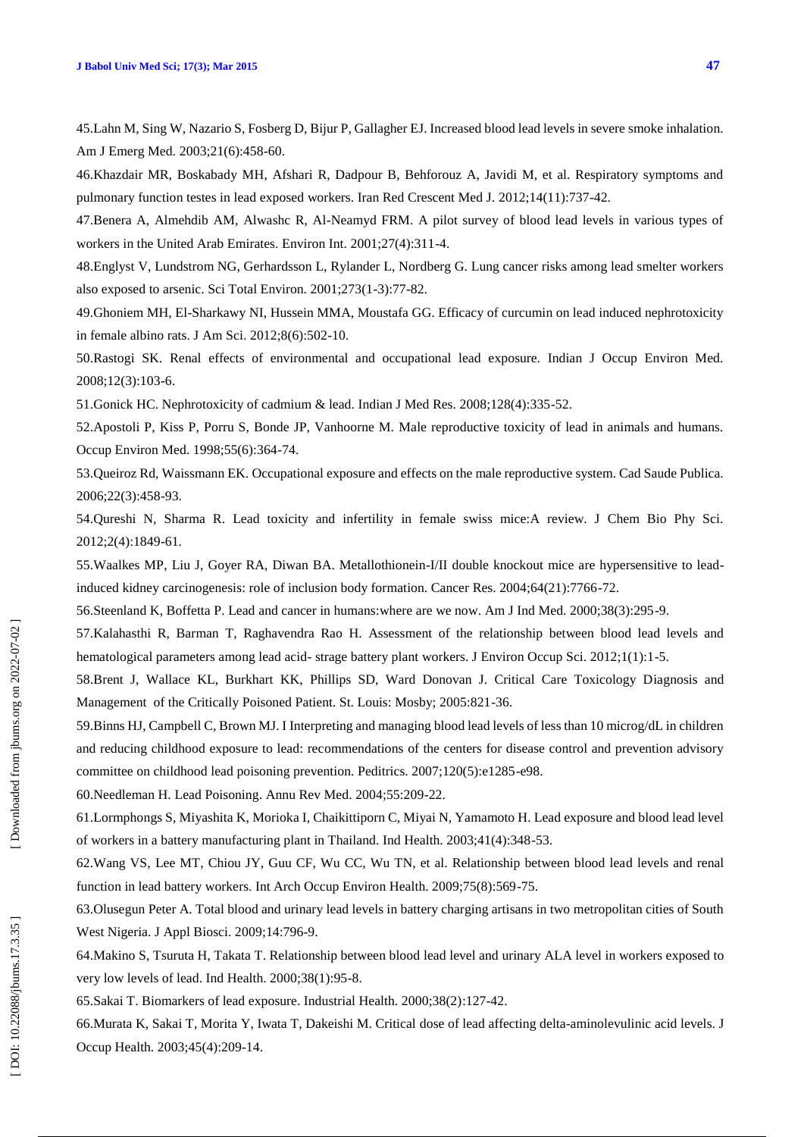45.Lahn M, Sing W, Nazario S, Fosberg D, Bijur P, Gallagher EJ. Increased blood lead levels in severe smoke inhalation. [Am J Emerg Med.](http://www.ncbi.nlm.nih.gov/pubmed?term=Increased%5BTitle%5D%20AND%20Blood%5BTitle%5D%20AND%20Lead%5BTitle%5D%20AND%20Levels%5BTitle%5D%20AND%20Severe%5BTitle%5D%20AND%20Smoke%5BTitle%5D%20AND%20Inhalation%5BTitle%5D) 2003;21(6):458 -60.

46.Khazdair MR, Boskabady MH, Afshari R, Dadpour B, Behforouz A, Javidi M, et al. Respiratory symptoms and pulmonary function testes in lead exposed workers. Iran Red Crescent Med J. 2012;14(11):737 -42.

47.Benera A, Almehdib AM, Alwashc R, Al -Neamyd FRM. A pilot survey of blood lead levels in various types of workers in the United Arab Emirates. Environ Int. 2001;27(4):311 -4.

48.Englyst V, Lundstrom NG, Gerhardsson L, Rylander L, Nordberg G. Lung cancer risks among lead smelter workers also exposed to arsenic. Sci Total Environ. 2001;273(1 -3):77 -82.

49.Ghoniem MH, El -Sharkawy NI, Hussein MMA, Moustafa GG. Efficacy of curcumin on lead induced nephrotoxicity in female albino rats. J Am Sci. 2012;8(6):502 -10.

50.Rastogi SK. Renal effects of environmental and occupational lead exposure. Indian J Occup Environ Med. 2008;12(3):103 -6.

51.Gonick HC. Nephrotoxicity of cadmium & lead. Indian J Med Res. 2008;128(4):335 -52.

52.Apostoli P, Kiss P, Porru S, Bonde JP, Vanhoorne M. Male reproductive toxicity of lead in animals and humans. Occup Environ Med. 1998;55(6):364 -74.

53.Queiroz Rd, Waissmann EK. Occupational exposure and effects on the male reproductive system. Cad Saude Publica. 2006;22(3):458 -93.

54.Qureshi N, Sharma R. Lead toxicity and infertility in female swiss mice:A review. J Chem Bio Phy Sci. 2012;2(4):1849 -61.

55.Waalkes MP, Liu J, Goyer RA, Diwan BA. Metallothionein -I/II double knockout mice are hypersensitive to lead induced kidney carcinogenesis: role of inclusion body formation. Cancer Res. 2004;64(21):7766 -72.

56.Steenland K, Boffetta P. Lead and cancer in humans:where are we now. Am J Ind Med. 2000;38(3):295 -9.

57.Kalahasthi R, Barman T, Raghavendra Rao H. Assessment of the relationship between blood lead levels and hematological parameters among lead acid- strage battery plant workers. J Environ Occup Sci. 2012;1(1):1-5.

58.Brent J, Wallace KL, Burkhart KK, Phillips SD, Ward Donovan J. Critical Care Toxicology Diagnosis and Management of the Critically Poisoned Patient. St. Louis: Mosby; 2005:821 -36.

59.Binns HJ, Campbell C, Brown MJ. I Interpreting and managing blood lead levels of less than 10 microg/dL in children and reducing childhood exposure to lead: recommendations of the centers for disease control and prevention advisory committee on childhood lead poisoning prevention. Peditrics. 2007;120(5):e1285 -e98.

60.Needleman H. Lead Poisoning. Annu Rev Med. 2004;55:209 -22.

61.Lormphongs S, Miyashita K, Morioka I, Chaikittiporn C, Miyai N, Yamamoto H. Lead exposure and blood lead level of workers in a battery manufacturing plant in Thailand. Ind Health. 2003;41(4):348 -53.

62.Wang VS, Lee MT, Chiou JY, Guu CF, Wu CC, Wu TN, et al. Relationship between blood lead levels and renal function in lead battery workers. Int Arch Occup Environ Health. 2009;75(8):569 -75.

63.Olusegun Peter A. Total blood and urinary lead levels in battery charging artisans in two metropolitan cities of South West Nigeria. J Appl Biosci. 2009;14:796 -9.

64.Makino S, Tsuruta H, Takata T. Relationship between blood lead level and urinary ALA level in workers exposed to very low levels of lead. Ind Health. 2000;38(1):95 -8.

65.Sakai T. Biomarkers of lead exposure. Industrial Health. 2000;38(2):127 -42.

66.Murata K, Sakai T, Morita Y, Iwata T, Dakeishi M. Critical dose of lead affecting delta -aminolevulinic acid levels. J Occup Health. 2003;45(4):209 -14.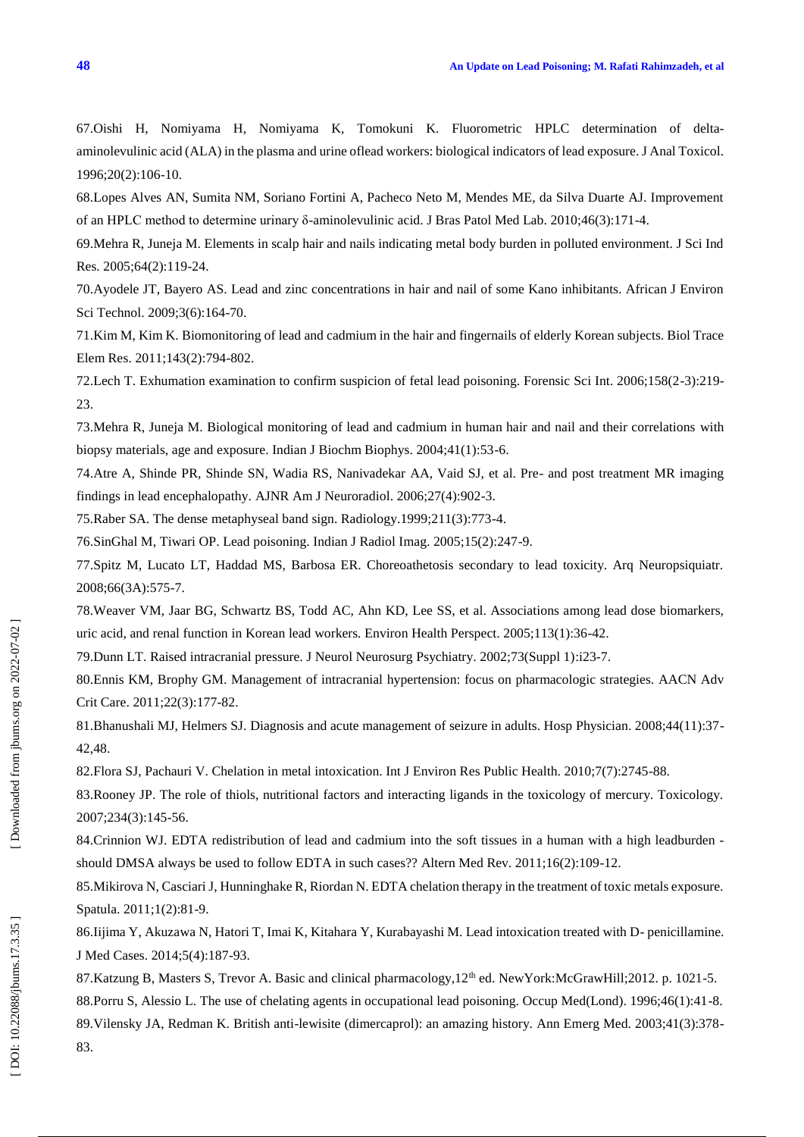68.Lopes Alves AN, Sumita NM, Soriano Fortini A, Pacheco Neto M, Mendes ME, da Silva Duarte AJ. Improvement of an HPLC method to determine urinary δ -aminolevulinic acid. J Bras Patol Med Lab. 2010;46(3):171 -4.

69.Mehra R, Juneja M. Elements in scalp hair and nails indicating metal body burden in polluted environment. J Sci Ind Res. 2005;64(2):119 -24.

70.Ayodele JT, Bayero AS. Lead and zinc concentrations in hair and nail of some Kano inhibitants. African J Environ Sci Technol. 2009;3(6):164 -70.

71.Kim M, Kim K. Biomonitoring of lead and cadmium in the hair and fingernails of elderly Korean subjects. Biol Trace Elem Res. 2011;143(2):794 -802.

72.Lech T. Exhumation examination to confirm suspicion of fetal lead poisoning. Forensic Sci Int. 2006;158(2 -3):219 - 23.

73.Mehra R, Juneja M. Biological monitoring of lead and cadmium in human hair and nail and their correlations with biopsy materials, age and exposure. Indian J Biochm Biophys. 2004;41(1):53 -6.

74.Atre A, Shinde PR, Shinde SN, Wadia RS, Nanivadekar AA, Vaid SJ, et al. Pre - and post treatment MR imaging findings in lead encephalopathy. [AJNR Am J Neuroradiol](http://www.ncbi.nlm.nih.gov/pubmed/?term=Pre-+and+Posttreatment+MR+Imaging+Findings+in+Lead+Encephalopathy). 2006;27(4):902 -3.

75.Raber SA. The dense metaphyseal band sign. Radiology.1999;211(3):773 - 4 .

76.SinGhal M, Tiwari OP. Lead poisoning. Indian J Radiol Imag. 2005;15(2):247 -9.

77.Spitz M, Lucato LT, Haddad MS, Barbosa ER. Choreoathetosis secondary to lead toxicity. Arq Neuropsiquiatr. 2008;66(3A):575 -7.

78.Weaver VM, Jaar BG, Schwartz BS, Todd AC, Ahn KD, Lee SS, et al. Associations among lead dose biomarkers, uric acid, and renal function in Korean lead workers. Environ Health Perspect. 2005;113(1):36 -42.

79.Dunn LT. Raised intracranial pressure. J Neurol Neurosurg Psychiatry. 2002;73(Suppl 1):i23 -7.

80.Ennis KM, Brophy GM. Management of intracranial hypertension: focus on pharmacologic strategies. [AACN Adv](http://www.ncbi.nlm.nih.gov/pubmed/?term=Management+of+Intracranial+Hypertension%3A+Focus+on+Pharmacologic+Strategies)  [Crit Care.](http://www.ncbi.nlm.nih.gov/pubmed/?term=Management+of+Intracranial+Hypertension%3A+Focus+on+Pharmacologic+Strategies) 2011;22(3):177 -82.

81. Bhanushali MJ, Helmers SJ. Diagnosis and acute management of seizure in adults. Hosp Physician. 2008;44(11):37-42,48.

82.Flora SJ, Pachauri V. Chelation in metal intoxication. Int J Environ Res Public Health. 2010;7(7):2745 -88.

83.Rooney JP. The role of thiols, nutritional factors and interacting ligands in the toxicology of mercury. Toxicology. 2007;234(3):145 -56.

84.Crinnion WJ. EDTA redistribution of lead and cadmium into the soft tissues in a human with a high leadburden should DMSA always be used to follow EDTA in such cases?? Altern Med Rev. 2011;16(2):109 -12.

85.Mikirova N, Casciari J, Hunninghake R, Riordan N. EDTA chelation therapy in the treatment of toxic metals exposure. Spatula. 2011;1(2):81 -9.

86.Iijima Y, Akuzawa N, Hatori T, Imai K, Kitahara Y, Kurabayashi M. Lead intoxication treated with D - penicillamine. J Med Cases. 2014;5(4):187 -93.

87.Katzung B, Masters S, Trevor A. Basic and clinical pharmacology, 12<sup>th</sup> ed. NewYork:McGrawHill;2012. p. 1021-5. 88. Porru S[, Alessio L.](http://www.ncbi.nlm.nih.gov/pubmed/?term=Alessio%20L%5BAuthor%5D&cauthor=true&cauthor_uid=8672793) The use of chelating agents in occupational lead poisoning. Occup Med(Lond). 1996;46(1):41-8. 89.Vilensky JA, Redman K. British anti -lewisite (dimercaprol): an amazing history. Ann Emerg Med. 2003;41(3):378 - 83.

1996;20(2):106 -10.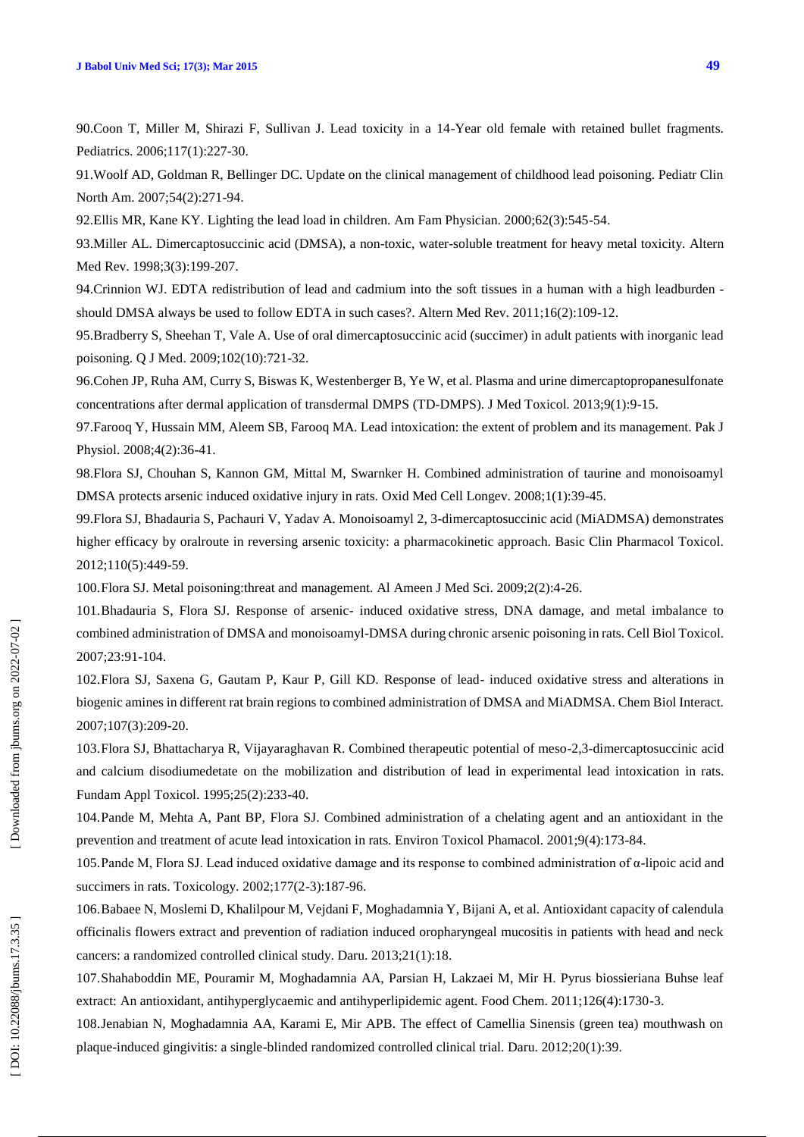90.Coon T, Miller M, Shirazi F, Sullivan J. Lead toxicity in a 14 -Year old female with retained bullet fragments. Pediatrics. 2006;117(1):227 -30.

91.Woolf AD, Goldman R, Bellinger DC. Update on the clinical management of childhood lead poisoning. Pediatr Clin North Am. 2007;54(2):271 -94.

92.Ellis MR, Kane KY. Lighting the lead load in children. Am Fam Physician. 2000;62(3):545 -54.

93. Miller AL. Dimercaptosuccinic acid (DMSA), a non -toxic, water -soluble treatment for heavy metal toxicity. Altern Med Rev. 1998;3(3):199 -207.

94.Crinnion WJ. EDTA redistribution of lead and cadmium into the soft tissues in a human with a high leadburden should DMSA always be used to follow EDTA in such cases?. [Altern Med Rev.](http://www.ncbi.nlm.nih.gov/pubmed/?term=EDTA+Redistribution+of+Lead+and+Cadmium+Into+the+Soft+Tissues+in+a+Human+With+a+High+Lead+Burden-+Should+DMSA+Always+Be+Used+to+Follow+EDTA+in+Such+Cases) 2011;16(2):109 -12.

95.Bradberry S, Sheehan T, Vale A. Use of oral dimercaptosuccinic acid (succimer) in adult patients with inorganic lead poisoning. Q J Med. 2009;102(10):721 -32.

96.Cohen JP, Ruha AM, Curry S, Biswas K, Westenberger B, Ye W, et al. Plasma and urine dimercaptopropanesulfonate concentrations after dermal application of transdermal DMPS (TD -DMPS). J Med Toxicol. 2013;9(1):9 -15.

97.Farooq Y, Hussain MM, Aleem SB, Farooq MA. Lead intoxication: the extent of problem and its management. Pak J Physiol. 2008;4(2):36 -41.

98.Flora SJ, Chouhan S, Kannon GM, Mittal M, Swarnker H. Combined administration of taurine and monoisoamyl DMSA protects arsenic induced oxidative injury in rats. [Oxid Med Cell Longev.](http://www.ncbi.nlm.nih.gov/pubmed/?term=Combined+administration+of+Taurine+and+monoisoamyl+DMSA+protects+arsenic+induced+oxidative+injury+in+rats) 2008;1(1):39 -45.

99.Flora SJ, Bhadauria S, Pachauri V, Yadav A. Monoisoamyl 2, 3 -dimercaptosuccinic acid (MiADMSA) demonstrates higher efficacy by oralroute in reversing arsenic toxicity: a pharmacokinetic approach. Basic Clin Pharmacol Toxicol. 2012;110(5):449 -59.

100.Flora SJ. Metal poisoning:threat and management. Al Ameen J Med Sci. 2009;2(2):4 -26.

101.Bhadauria S, Flora SJ. Response of arsenic - induced oxidative stress, DNA damage, and metal imbalance to combined administration of DMSA and monoisoamyl -DMSA during chronic arsenic poisoning in rats. Cell Biol Toxicol. 2007;23:91 -104.

102.Flora SJ, Saxena G, Gautam P, Kaur P, Gill KD. Response of lead - induced oxidative stress and alterations in biogenic amines in different rat brain regions to combined administration of DMSA and MiADMSA. Chem Biol Interact. 2007;107(3):209 -20.

103.Flora SJ, Bhattacharya R, Vijayaraghavan R. Combined therapeutic potential of meso -2,3 -dimercaptosuccinic acid and calcium disodiumedetate on the mobilization and distribution of lead in experimental lead intoxication in rats. Fundam Appl Toxicol. 1995;25(2):233 -40.

104.Pande M, Mehta A, Pant BP, Flora SJ. Combined administration of a chelating agent and an antioxidant in the prevention and treatment of acute lead intoxication in rats. Environ Toxicol Phamacol. 2001;9(4):173 -84.

105.Pande M, Flora SJ. Lead induced oxidative damage and its response to combined administration of α -lipoic acid and succimers in rats. Toxicology. 2002;177(2-3):187-96.

106.Babaee N, Moslemi D, Khalilpour M, Vejdani F, Moghadamnia Y, Bijani A, et al. Antioxidant capacity of calendula officinalis flowers extract and prevention of radiation induced oropharyngeal mucositis in patients with head and neck cancers: a randomized controlled clinical study. Daru. 2013;21(1):18.

107.Shahaboddin ME, Pouramir M, Moghadamnia AA, Parsian H, Lakzaei M, Mir H. Pyrus biossieriana Buhse leaf extract: An antioxidant, antihyperglycaemic and antihyperlipidemic agent. Food Chem. 2011;126(4):1730 -3.

108.Jenabian N, Moghadamnia AA, Karami E, Mir APB. The effect of Camellia Sinensis (green tea) mouthwash on plaque -induced gingivitis: a single -blinded randomized controlled clinical trial. Daru. 2012;20(1):39.